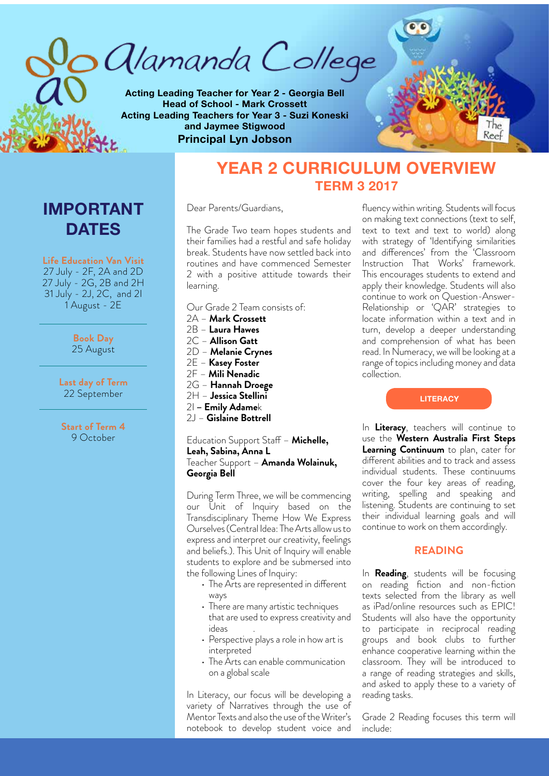*alamanda College* 

**Acting Leading Teacher for Year 2 - Georgia Bell Head of School - Mark Crossett Acting Leading Teachers for Year 3 - Suzi Koneski and Jaymee Stigwood Principal Lyn Jobson**



# **IMPORTANT DATES**

**Life Education Van Visit**  27 July - 2F, 2A and 2D 27 July - 2G, 2B and 2H 31 July - 2J, 2C, and 2I 1 August - 2E

> **Book Day** 25 August

**Last day of Term**  22 September

**Start of Term 4** 9 October

# **YEAR 2 CURRICULUM OVERVIEW TERM 3 2017**

Dear Parents/Guardians,

The Grade Two team hopes students and their families had a restful and safe holiday break. Students have now settled back into routines and have commenced Semester 2 with a positive attitude towards their learning.

- Our Grade 2 Team consists of:
- 2A **Mark Crossett** 2B – **Laura Hawes**
- 2C **Allison Gatt** 2D – **Melanie Crynes** 2E – **Kasey Foster**
- 2F **Mili Nenadic**
- 2G **Hannah Droege**
- 2H **Jessica Stellini**
- 2I  **Emily Adame**k
- 2J **Gislaine Bottrell**

Education Support Staff – **Michelle, Leah, Sabina, Anna L** Teacher Support – **Amanda Wolainuk, Georgia Bell**

During Term Three, we will be commencing our Unit of Inquiry based on the Transdisciplinary Theme How We Express Ourselves (Central Idea: The Arts allow us to express and interpret our creativity, feelings and beliefs.). This Unit of Inquiry will enable students to explore and be submersed into the following Lines of Inquiry:

- The Arts are represented in different ways
- There are many artistic techniques that are used to express creativity and *ideas*
- Perspective plays a role in how art is interpreted
- The Arts can enable communication on a global scale

In Literacy, our focus will be developing a variety of Narratives through the use of Mentor Texts and also the use of the Writer's notebook to develop student voice and

fluency within writing. Students will focus on making text connections (text to self, text to text and text to world) along with strategy of 'Identifying similarities and differences' from the 'Classroom Instruction That Works' framework. This encourages students to extend and apply their knowledge. Students will also continue to work on Question-Answer-Relationship or 'QAR' strategies to locate information within a text and in turn, develop a deeper understanding and comprehension of what has been read. In Numeracy, we will be looking at a range of topics including money and data collection.

**LITERACY**

In **Literacy**, teachers will continue to use the **Western Australia First Steps Learning Continuum** to plan, cater for different abilities and to track and assess individual students. These continuums cover the four key areas of reading, writing, spelling and speaking and listening. Students are continuing to set their individual learning goals and will continue to work on them accordingly.

# **READING**

In **Reading**, students will be focusing on reading fiction and non-fiction texts selected from the library as well as iPad/online resources such as EPIC! Students will also have the opportunity to participate in reciprocal reading groups and book clubs to further enhance cooperative learning within the classroom. They will be introduced to a range of reading strategies and skills, and asked to apply these to a variety of reading tasks.

Grade 2 Reading focuses this term will include: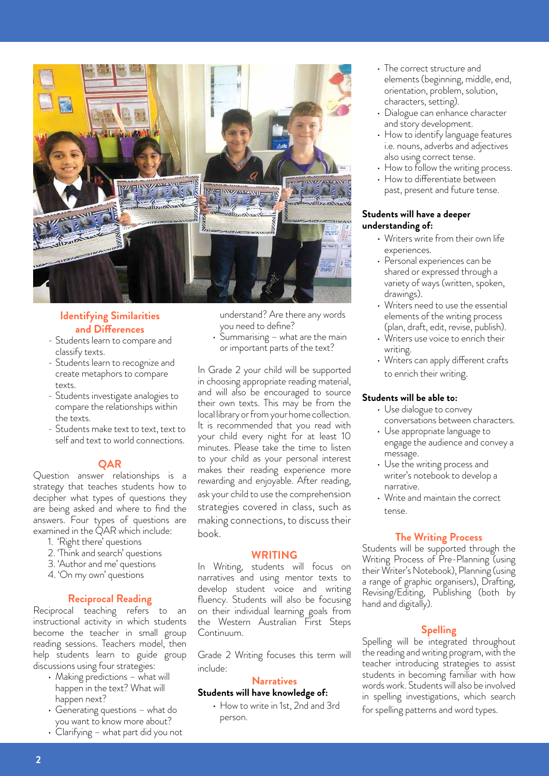

# **Identifying Similarities and Differences**

- Students learn to compare and classify texts.
- Students learn to recognize and create metaphors to compare texts.
- Students investigate analogies to compare the relationships within the texts.
- Students make text to text, text to self and text to world connections.

## **QAR**

Question answer relationships is a strategy that teaches students how to decipher what types of questions they are being asked and where to find the answers. Four types of questions are examined in the  $\acute{Q}AR$  which include:

- 1. 'Right there' questions
- 2. 'Think and search' questions
- 3. 'Author and me' questions
- 4. 'On my own' questions

# **Reciprocal Reading**

Reciprocal teaching refers to an instructional activity in which students become the teacher in small group reading sessions. Teachers model, then help students learn to guide group discussions using four strategies:

- Making predictions what will happen in the text? What will happen next?
- • Generating questions what do you want to know more about?
- Clarifying what part did you not

understand? Are there any words you need to define?

 $\cdot$  Summarising – what are the main or important parts of the text?

In Grade 2 your child will be supported in choosing appropriate reading material, and will also be encouraged to source their own texts. This may be from the local library or from your home collection. It is recommended that you read with your child every night for at least 10 minutes. Please take the time to listen to your child as your personal interest makes their reading experience more rewarding and enjoyable. After reading, ask your child to use the comprehension strategies covered in class, such as making connections, to discuss their book.

### **WRITING**

In Writing, students will focus on narratives and using mentor texts to develop student voice and writing fluency. Students will also be focusing on their individual learning goals from the Western Australian First Steps Continuum.

Grade 2 Writing focuses this term will include:

# **Narratives**

- **Students will have knowledge of:**
	- How to write in 1st, 2nd and 3rd person.
- The correct structure and elements (beginning, middle, end, orientation, problem, solution, characters, setting).
- Dialogue can enhance character and story development.
- How to identify language features i.e. nouns, adverbs and adjectives also using correct tense.
- How to follow the writing process.
- How to differentiate between past, present and future tense.

## **Students will have a deeper understanding of:**

- Writers write from their own life experiences.
- Personal experiences can be shared or expressed through a variety of ways (written, spoken, drawings).
- Writers need to use the essential elements of the writing process (plan, draft, edit, revise, publish).
- Writers use voice to enrich their writing.
- Writers can apply different crafts to enrich their writing.

## **Students will be able to:**

- Use dialogue to convey conversations between characters.
- Use appropriate language to engage the audience and convey a message.
- Use the writing process and writer's notebook to develop a narrative.
- Write and maintain the correct tense.

## **The Writing Process**

Students will be supported through the Writing Process of Pre-Planning (using their Writer's Notebook), Planning (using a range of graphic organisers), Drafting, Revising/Editing, Publishing (both by hand and digitally).

# **Spelling**

Spelling will be integrated throughout the reading and writing program, with the teacher introducing strategies to assist students in becoming familiar with how words work. Students will also be involved in spelling investigations, which search for spelling patterns and word types.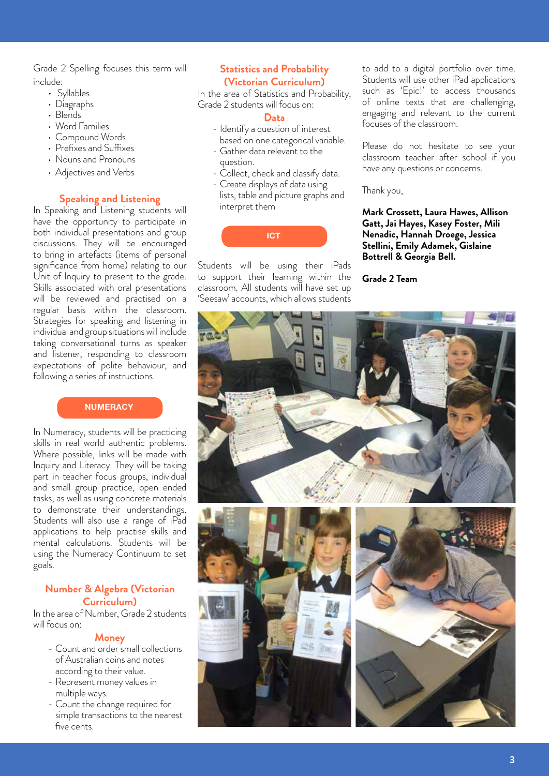Grade 2 Spelling focuses this term will include:

- Syllables
- Diagraphs
- Blends
- Word Families
- Compound Words
- Prefixes and Suffixes
- • Nouns and Pronouns
- Adjectives and Verbs

# **Speaking and Listening**

In Speaking and Listening students will have the opportunity to participate in both individual presentations and group discussions. They will be encouraged to bring in artefacts (items of personal significance from home) relating to our Unit of Inquiry to present to the grade. Skills associated with oral presentations will be reviewed and practised on a regular basis within the classroom. Strategies for speaking and listening in individual and group situations will include taking conversational turns as speaker and listener, responding to classroom expectations of polite behaviour, and following a series of instructions.

# **NUMERACY**

In Numeracy, students will be practicing skills in real world authentic problems. Where possible, links will be made with Inquiry and Literacy. They will be taking part in teacher focus groups, individual and small group practice, open ended tasks, as well as using concrete materials to demonstrate their understandings. Students will also use a range of iPad applications to help practise skills and mental calculations. Students will be using the Numeracy Continuum to set goals.

# **Number & Algebra (Victorian Curriculum)**

In the area of Number, Grade 2 students will focus on:

## **Money**

- Count and order small collections of Australian coins and notes according to their value.
- Represent money values in multiple ways.
- Count the change required for simple transactions to the nearest five cents.

# **Statistics and Probability (Victorian Curriculum)**

In the area of Statistics and Probability, Grade 2 students will focus on:

# **Data**

- Identify a question of interest based on one categorical variable.
- Gather data relevant to the question.
- Collect, check and classify data.
- Create displays of data using lists, table and picture graphs and interpret them

**ICT**

Students will be using their iPads to support their learning within the classroom. All students will have set up 'Seesaw' accounts, which allows students

to add to a digital portfolio over time. Students will use other iPad applications such as 'Epic!' to access thousands of online texts that are challenging, engaging and relevant to the current focuses of the classroom.

Please do not hesitate to see your classroom teacher after school if you have any questions or concerns.

Thank you,

**Mark Crossett, Laura Hawes, Allison Gatt, Jai Hayes, Kasey Foster, Mili Nenadic, Hannah Droege, Jessica Stellini, Emily Adamek, Gislaine Bottrell & Georgia Bell.**

**Grade 2 Team** 

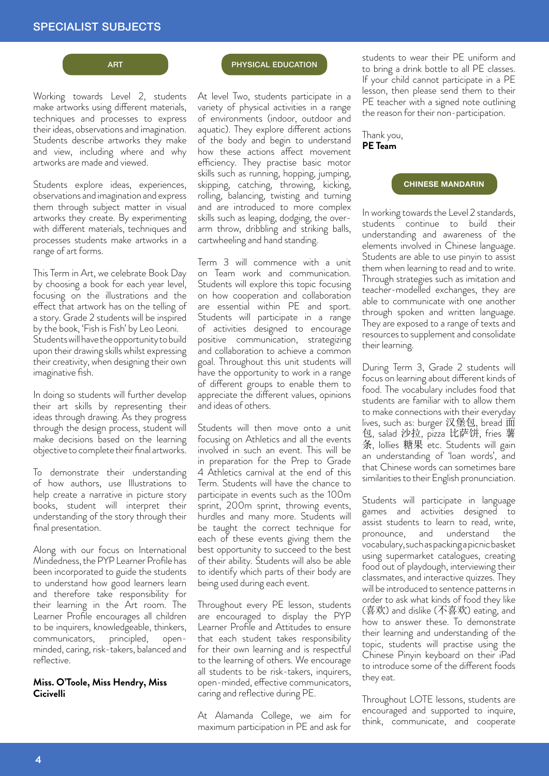# SPECIALIST SUBJECTS

## ART

Working towards Level 2, students make artworks using different materials, techniques and processes to express their ideas, observations and imagination. Students describe artworks they make and view, including where and why artworks are made and viewed.

Students explore ideas, experiences, observations and imagination and express them through subject matter in visual artworks they create. By experimenting with different materials, techniques and processes students make artworks in a range of art forms.

This Term in Art, we celebrate Book Day by choosing a book for each year level, focusing on the illustrations and the effect that artwork has on the telling of a story. Grade 2 students will be inspired by the book, 'Fish is Fish' by Leo Leoni. Students will have the opportunity to build upon their drawing skills whilst expressing their creativity, when designing their own imaginative fish.

In doing so students will further develop their art skills by representing their ideas through drawing. As they progress through the design process, student will make decisions based on the learning objective to complete their final artworks.

To demonstrate their understanding of how authors, use Illustrations to help create a narrative in picture story books, student will interpret their understanding of the story through their final presentation.

Along with our focus on International Mindedness, the PYP Learner Profile has been incorporated to guide the students to understand how good learners learn and therefore take responsibility for their learning in the Art room. The Learner Profile encourages all children to be inquirers, knowledgeable, thinkers,<br>communicators, principled, opencommunicators, principled, openminded, caring, risk-takers, balanced and reflective.

### **Miss. O'Toole, Miss Hendry, Miss Cicivelli**

### PHYSICAL EDUCATION

At level Two, students participate in a variety of physical activities in a range of environments (indoor, outdoor and aquatic). They explore different actions of the body and begin to understand how these actions affect movement efficiency. They practise basic motor skills such as running, hopping, jumping, skipping, catching, throwing, kicking, rolling, balancing, twisting and turning and are introduced to more complex skills such as leaping, dodging, the overarm throw, dribbling and striking balls, cartwheeling and hand standing.

Term 3 will commence with a unit on Team work and communication. Students will explore this topic focusing on how cooperation and collaboration are essential within PE and sport. Students will participate in a range of activities designed to encourage positive communication, strategizing and collaboration to achieve a common goal. Throughout this unit students will have the opportunity to work in a range of different groups to enable them to appreciate the different values, opinions and ideas of others.

Students will then move onto a unit focusing on Athletics and all the events involved in such an event. This will be in preparation for the Prep to Grade 4 Athletics carnival at the end of this Term. Students will have the chance to participate in events such as the 100m sprint, 200m sprint, throwing events, hurdles and many more. Students will be taught the correct technique for each of these events giving them the best opportunity to succeed to the best of their ability. Students will also be able to identify which parts of their body are being used during each event.

Throughout every PE lesson, students are encouraged to display the PYP Learner Profile and Attitudes to ensure that each student takes responsibility for their own learning and is respectful to the learning of others. We encourage all students to be risk-takers, inquirers, open-minded, effective communicators, caring and reflective during PE.

At Alamanda College, we aim for maximum participation in PE and ask for

students to wear their PE uniform and to bring a drink bottle to all PE classes. If your child cannot participate in a PE lesson, then please send them to their PE teacher with a signed note outlining the reason for their non-participation.

## Thank you, **PE Team**

### **CHINESE MANDARIN**

In working towards the Level 2 standards, students continue to build their understanding and awareness of the elements involved in Chinese language. Students are able to use pinyin to assist them when learning to read and to write. Through strategies such as imitation and teacher-modelled exchanges, they are able to communicate with one another through spoken and written language. They are exposed to a range of texts and resources to supplement and consolidate their learning.

During Term 3, Grade 2 students will focus on learning about different kinds of food. The vocabulary includes food that students are familiar with to allow them to make connections with their everyday lives, such as: burger 汉堡包, bread 面 包, salad 沙拉, pizza 比萨饼, fries 薯 etc., sends 1944, piece value, these approaches will gain an understanding of 'loan words', and that Chinese words can sometimes bare similarities to their English pronunciation.

Students will participate in language games and activities designed to assist students to learn to read, write, pronounce, and understand the vocabulary, such as packing a picnic basket using supermarket catalogues, creating food out of playdough, interviewing their classmates, and interactive quizzes. They will be introduced to sentence patterns in order to ask what kinds of food they like (喜欢) and dislike (不喜欢) eating, and how to answer these. To demonstrate their learning and understanding of the topic, students will practise using the Chinese Pinyin keyboard on their iPad to introduce some of the different foods they eat.

Throughout LOTE lessons, students are encouraged and supported to inquire, think, communicate, and cooperate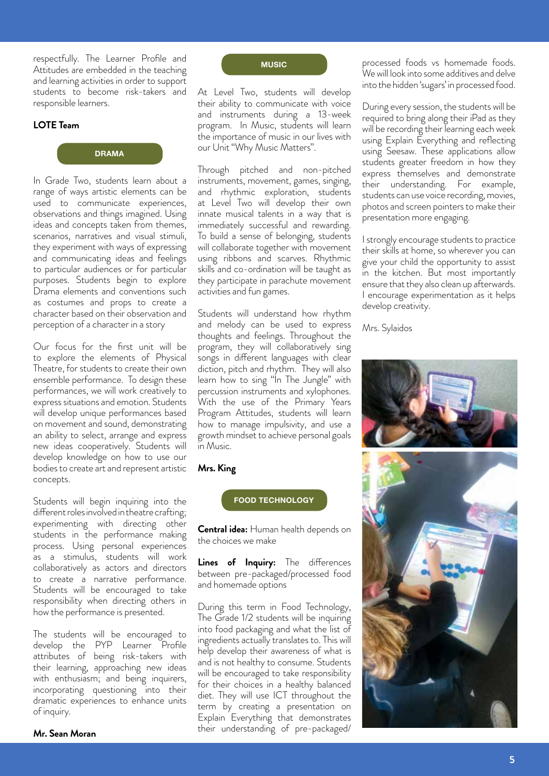respectfully. The Learner Profile and Attitudes are embedded in the teaching and learning activities in order to support students to become risk-takers and responsible learners.

### **LOTE Team**



In Grade Two, students learn about a range of ways artistic elements can be used to communicate experiences, observations and things imagined. Using ideas and concepts taken from themes, scenarios, narratives and visual stimuli, they experiment with ways of expressing and communicating ideas and feelings to particular audiences or for particular purposes. Students begin to explore Drama elements and conventions such as costumes and props to create a character based on their observation and perception of a character in a story

Our focus for the first unit will be to explore the elements of Physical Theatre, for students to create their own ensemble performance. To design these performances, we will work creatively to express situations and emotion. Students will develop unique performances based on movement and sound, demonstrating an ability to select, arrange and express new ideas cooperatively. Students will develop knowledge on how to use our bodies to create art and represent artistic concepts.

Students will begin inquiring into the different roles involved in theatre crafting; experimenting with directing other students in the performance making process. Using personal experiences as a stimulus, students will work collaboratively as actors and directors to create a narrative performance. Students will be encouraged to take responsibility when directing others in how the performance is presented.

The students will be encouraged to develop the PYP Learner Profile attributes of being risk-takers with their learning, approaching new ideas with enthusiasm; and being inquirers, incorporating questioning into their dramatic experiences to enhance units of inquiry.

### **Mr. Sean Moran**

**MUSIC**

At Level Two, students will develop their ability to communicate with voice and instruments during a 13-week program. In Music, students will learn the importance of music in our lives with our Unit "Why Music Matters".

Through pitched and non-pitched instruments, movement, games, singing, and rhythmic exploration, students at Level Two will develop their own innate musical talents in a way that is immediately successful and rewarding. To build a sense of belonging, students will collaborate together with movement using ribbons and scarves. Rhythmic skills and co-ordination will be taught as they participate in parachute movement activities and fun games.

Students will understand how rhythm and melody can be used to express thoughts and feelings. Throughout the program, they will collaboratively sing songs in different languages with clear diction, pitch and rhythm. They will also learn how to sing "In The Jungle" with percussion instruments and xylophones. With the use of the Primary Years Program Attitudes, students will learn how to manage impulsivity, and use a growth mindset to achieve personal goals in Music.

## **Mrs. King**

## **FOOD TECHNOLOGY**

**Central idea:** Human health depends on the choices we make

**Lines of Inquiry:** The differences between pre-packaged/processed food and homemade options

During this term in Food Technology, The Grade 1/2 students will be inquiring into food packaging and what the list of ingredients actually translates to. This will help develop their awareness of what is and is not healthy to consume. Students will be encouraged to take responsibility for their choices in a healthy balanced diet. They will use ICT throughout the term by creating a presentation on Explain Everything that demonstrates their understanding of pre-packaged/

processed foods vs homemade foods. We will look into some additives and delve into the hidden 'sugars' in processed food.

During every session, the students will be required to bring along their iPad as they will be recording their learning each week using Explain Everything and reflecting using Seesaw. These applications allow students greater freedom in how they express themselves and demonstrate their understanding. For example, students can use voice recording, movies, photos and screen pointers to make their presentation more engaging.

I strongly encourage students to practice their skills at home, so wherever you can give your child the opportunity to assist in the kitchen. But most importantly ensure that they also clean up afterwards. I encourage experimentation as it helps develop creativity.

Mrs. Sylaidos

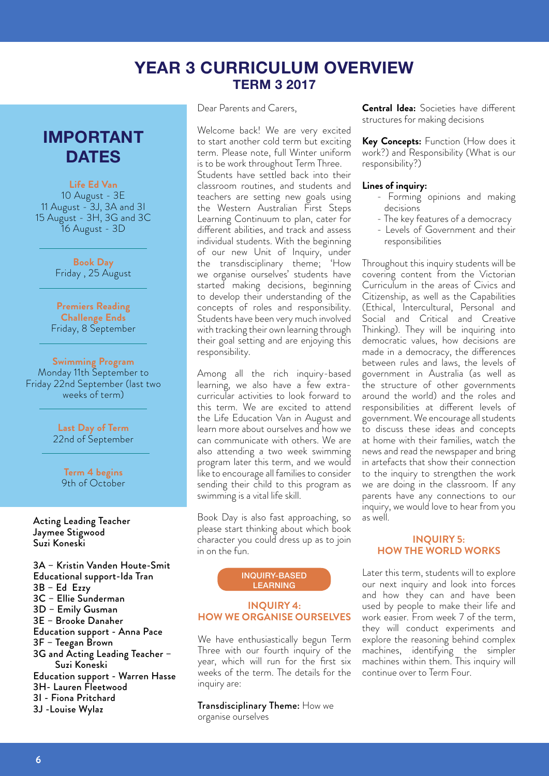# **YEAR 3 CURRICULUM OVERVIEW TERM 3 2017**

# **IMPORTANT DATES**

**Life Ed Van** 10 August - 3E 11 August - 3J, 3A and 3I 15 August - 3H, 3G and 3C 16 August - 3D

> **Book Day** Friday , 25 August

**Premiers Reading Challenge Ends**  Friday, 8 September

**Swimming Program** Monday 11th September to Friday 22nd September (last two weeks of term)

> **Last Day of Term**  22nd of September

**Term 4 begins**  9th of October

Acting Leading Teacher Jaymee Stigwood Suzi Koneski

3A – Kristin Vanden Houte-Smit Educational support-Ida Tran 3B – Ed Ezzy 3C – Ellie Sunderman 3D – Emily Gusman 3E – Brooke Danaher Education support - Anna Pace 3F – Teegan Brown 3G and Acting Leading Teacher – Suzi Koneski Education support - Warren Hasse 3H- Lauren Fleetwood 3I - Fiona Pritchard 3J -Louise Wylaz

Dear Parents and Carers,

Welcome back! We are very excited to start another cold term but exciting term. Please note, full Winter uniform is to be work throughout Term Three.

Students have settled back into their classroom routines, and students and teachers are setting new goals using the Western Australian First Steps Learning Continuum to plan, cater for different abilities, and track and assess individual students. With the beginning of our new Unit of Inquiry, under the transdisciplinary theme; 'How we organise ourselves' students have started making decisions, beginning to develop their understanding of the concepts of roles and responsibility. Students have been very much involved with tracking their own learning through their goal setting and are enjoying this responsibility.

Among all the rich inquiry-based learning, we also have a few extracurricular activities to look forward to this term. We are excited to attend the Life Education Van in August and learn more about ourselves and how we can communicate with others. We are also attending a two week swimming program later this term, and we would like to encourage all families to consider sending their child to this program as swimming is a vital life skill.

Book Day is also fast approaching, so please start thinking about which book character you could dress up as to join in on the fun.

#### INQUIRY-BASED LEARNING

## **INQUIRY 4: HOW WE ORGANISE OURSELVES**

We have enthusiastically begun Term Three with our fourth inquiry of the year, which will run for the first six weeks of the term. The details for the inquiry are:

Transdisciplinary Theme: How we organise ourselves

**Central Idea:** Societies have different structures for making decisions

**Key Concepts:** Function (How does it work?) and Responsibility (What is our responsibility?)

### **Lines of inquiry:**

- Forming opinions and making decisions
- The key features of a democracy
- Levels of Government and their responsibilities

Throughout this inquiry students will be covering content from the Victorian Curriculum in the areas of Civics and Citizenship, as well as the Capabilities (Ethical, Intercultural, Personal and Social and Critical and Creative Thinking). They will be inquiring into democratic values, how decisions are made in a democracy, the differences between rules and laws, the levels of government in Australia (as well as the structure of other governments around the world) and the roles and responsibilities at different levels of government. We encourage all students to discuss these ideas and concepts at home with their families, watch the news and read the newspaper and bring in artefacts that show their connection to the inquiry to strengthen the work we are doing in the classroom. If any parents have any connections to our inquiry, we would love to hear from you as well.

### **INQUIRY 5: HOW THE WORLD WORKS**

Later this term, students will to explore our next inquiry and look into forces and how they can and have been used by people to make their life and work easier. From week 7 of the term, they will conduct experiments and explore the reasoning behind complex machines, identifying the simpler machines within them. This inquiry will continue over to Term Four.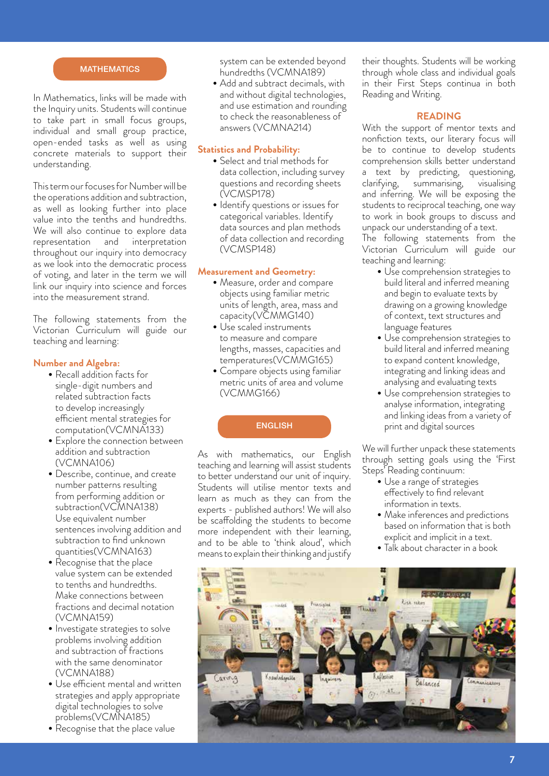### **MATHEMATICS**

In Mathematics, links will be made with the Inquiry units. Students will continue to take part in small focus groups, individual and small group practice, open-ended tasks as well as using concrete materials to support their understanding.

This term our focuses for Number will be the operations addition and subtraction, as well as looking further into place value into the tenths and hundredths. We will also continue to explore data representation and interpretation throughout our inquiry into democracy as we look into the democratic process of voting, and later in the term we will link our inquiry into science and forces into the measurement strand.

The following statements from the Victorian Curriculum will guide our teaching and learning:

### **Number and Algebra:**

- Recall addition facts for single-digit numbers and related subtraction facts to develop increasingly efficient mental strategies for computation(VCMNA133)
- Explore the connection between addition and subtraction (VCMNA106)
- Describe, continue, and create number patterns resulting from performing addition or subtraction(VCMNA138) Use equivalent number sentences involving addition and subtraction to find unknown quantities(VCMNA163)
- Recognise that the place value system can be extended to tenths and hundredths. Make connections between fractions and decimal notation (VCMNA159)
- Investigate strategies to solve problems involving addition and subtraction of fractions with the same denominator (VCMNA188)
- • Use efficient mental and written strategies and apply appropriate digital technologies to solve problems(VCMNA185)
- Recognise that the place value

system can be extended beyond hundredths (VCMNA189)

• Add and subtract decimals, with and without digital technologies, and use estimation and rounding to check the reasonableness of answers (VCMNA214)

### **Statistics and Probability:**

- Select and trial methods for data collection, including survey questions and recording sheets (VCMSP178)
- Identify questions or issues for categorical variables. Identify data sources and plan methods of data collection and recording (VCMSP148)

## **Measurement and Geometry:**

- Measure, order and compare objects using familiar metric units of length, area, mass and capacity(VCMMG140)
- Use scaled instruments to measure and compare lengths, masses, capacities and temperatures(VCMMG165)
- Compare objects using familiar metric units of area and volume (VCMMG166)

### **ENGLISH**

As with mathematics, our English teaching and learning will assist students to better understand our unit of inquiry. Students will utilise mentor texts and learn as much as they can from the experts - published authors! We will also be scaffolding the students to become more independent with their learning, and to be able to 'think aloud', which means to explain their thinking and justify their thoughts. Students will be working through whole class and individual goals in their First Steps continua in both Reading and Writing.

### **READING**

With the support of mentor texts and nonfiction texts, our literary focus will be to continue to develop students comprehension skills better understand text by predicting, questioning, clarifying, summarising, visualising and inferring. We will be exposing the students to reciprocal teaching, one way to work in book groups to discuss and unpack our understanding of a text.

The following statements from the Victorian Curriculum will guide our teaching and learning:

- Use comprehension strategies to build literal and inferred meaning and begin to evaluate texts by drawing on a growing knowledge of context, text structures and language features
- Use comprehension strategies to build literal and inferred meaning to expand content knowledge, integrating and linking ideas and analysing and evaluating texts
- Use comprehension strategies to analyse information, integrating and linking ideas from a variety of print and digital sources

We will further unpack these statements through setting goals using the 'First Steps' Reading continuum:

- Use a range of strategies effectively to find relevant information in texts.
- Make inferences and predictions based on information that is both explicit and implicit in a text.
- Talk about character in a book

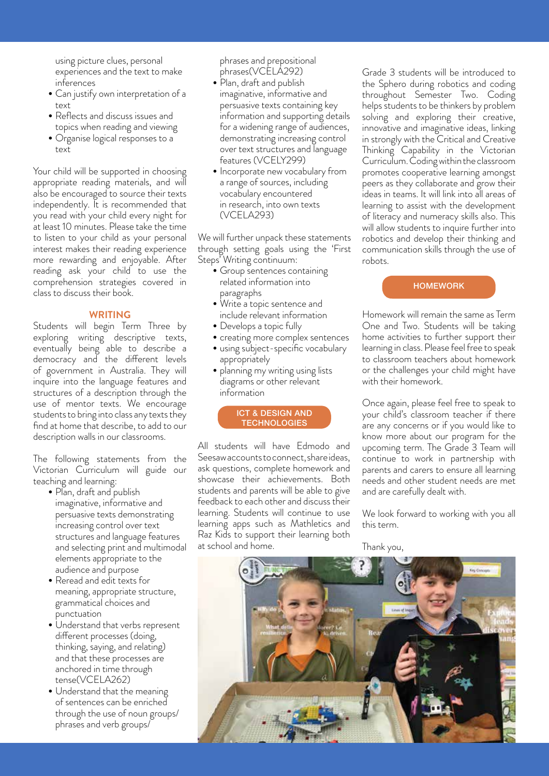using picture clues, personal experiences and the text to make inferences

- Can justify own interpretation of a text
- Reflects and discuss issues and topics when reading and viewing
- Organise logical responses to a text

Your child will be supported in choosing appropriate reading materials, and will also be encouraged to source their texts independently. It is recommended that you read with your child every night for at least 10 minutes. Please take the time to listen to your child as your personal interest makes their reading experience more rewarding and enjoyable. After reading ask your child to use the comprehension strategies covered in class to discuss their book.

### **WRITING**

Students will begin Term Three by exploring writing descriptive texts, eventually being able to describe a democracy and the different levels of government in Australia. They will inquire into the language features and structures of a description through the use of mentor texts. We encourage students to bring into class any texts they find at home that describe, to add to our description walls in our classrooms.

The following statements from the Victorian Curriculum will guide our teaching and learning:

- Plan, draft and publish imaginative, informative and persuasive texts demonstrating increasing control over text structures and language features and selecting print and multimodal elements appropriate to the audience and purpose
- Reread and edit texts for meaning, appropriate structure, grammatical choices and punctuation
- Understand that verbs represent different processes (doing, thinking, saying, and relating) and that these processes are anchored in time through tense(VCELA262)
- Understand that the meaning of sentences can be enriched through the use of noun groups/ phrases and verb groups/

phrases and prepositional phrases(VCELA292)

- Plan, draft and publish imaginative, informative and persuasive texts containing key information and supporting details for a widening range of audiences, demonstrating increasing control over text structures and language features (VCELY299)
- Incorporate new vocabulary from a range of sources, including vocabulary encountered in research, into own texts (VCELA293)

We will further unpack these statements through setting goals using the 'First Steps' Writing continuum:

- Group sentences containing related information into paragraphs
- Write a topic sentence and include relevant information
- Develops a topic fully
- creating more complex sentences • using subject-specific vocabulary
- appropriately • planning my writing using lists diagrams or other relevant information

### ICT & DESIGN AND **TECHNOLOGIES**

All students will have Edmodo and Seesaw accounts to connect, share ideas, ask questions, complete homework and showcase their achievements. Both students and parents will be able to give feedback to each other and discuss their learning. Students will continue to use learning apps such as Mathletics and Raz Kids to support their learning both at school and home.

Grade 3 students will be introduced to the Sphero during robotics and coding throughout Semester Two. Coding helps students to be thinkers by problem solving and exploring their creative, innovative and imaginative ideas, linking in strongly with the Critical and Creative Thinking Capability in the Victorian Curriculum. Coding within the classroom promotes cooperative learning amongst peers as they collaborate and grow their ideas in teams. It will link into all areas of learning to assist with the development of literacy and numeracy skills also. This will allow students to inquire further into robotics and develop their thinking and communication skills through the use of robots.

## **HOMEWORK**

Homework will remain the same as Term One and Two. Students will be taking home activities to further support their learning in class. Please feel free to speak to classroom teachers about homework or the challenges your child might have with their homework.

Once again, please feel free to speak to your child's classroom teacher if there are any concerns or if you would like to know more about our program for the upcoming term. The Grade 3 Team will continue to work in partnership with parents and carers to ensure all learning needs and other student needs are met and are carefully dealt with.

We look forward to working with you all this term.

Thank you,

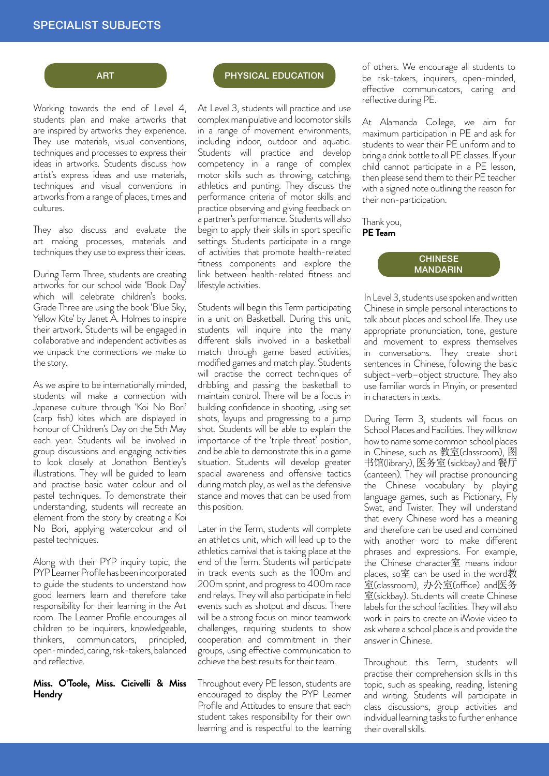# SPECIALIST SUBJECTS

### **ART**

Working towards the end of Level 4, students plan and make artworks that are inspired by artworks they experience. They use materials, visual conventions, techniques and processes to express their ideas in artworks. Students discuss how artist's express ideas and use materials, techniques and visual conventions in artworks from a range of places, times and cultures.

They also discuss and evaluate the art making processes, materials and techniques they use to express their ideas.

During Term Three, students are creating artworks for our school wide 'Book Day' which will celebrate children's books. Grade Three are using the book 'Blue Sky, Yellow Kite' by Janet A. Holmes to inspire their artwork. Students will be engaged in collaborative and independent activities as we unpack the connections we make to the story.

As we aspire to be internationally minded, students will make a connection with Japanese culture through 'Koi No Bori' (carp fish) kites which are displayed in honour of Children's Day on the 5th May each year. Students will be involved in group discussions and engaging activities to look closely at Jonathon Bentley's illustrations. They will be guided to learn and practise basic water colour and oil pastel techniques. To demonstrate their understanding, students will recreate an element from the story by creating a Koi No Bori, applying watercolour and oil pastel techniques.

Along with their PYP inquiry topic, the PYP Learner Profile has been incorporated to guide the students to understand how good learners learn and therefore take responsibility for their learning in the Art room. The Learner Profile encourages all children to be inquirers, knowledgeable, thinkers, communicators, principled, open-minded, caring, risk-takers, balanced and reflective.

## **Miss. O'Toole, Miss. Cicivelli & Miss Hendry**

### PHYSICAL EDUCATION

At Level 3, students will practice and use complex manipulative and locomotor skills in a range of movement environments, including indoor, outdoor and aquatic. Students will practice and develop competency in a range of complex motor skills such as throwing, catching, athletics and punting. They discuss the performance criteria of motor skills and practice observing and giving feedback on a partner's performance. Students will also begin to apply their skills in sport specific settings. Students participate in a range of activities that promote health-related fitness components and explore the link between health-related fitness and lifestyle activities.

Students will begin this Term participating in a unit on Basketball. During this unit, students will inquire into the many different skills involved in a basketball match through game based activities, modified games and match play. Students will practise the correct techniques of dribbling and passing the basketball to maintain control. There will be a focus in building confidence in shooting, using set shots, layups and progressing to a jump shot. Students will be able to explain the importance of the 'triple threat' position, and be able to demonstrate this in a game situation. Students will develop greater spacial awareness and offensive tactics during match play, as well as the defensive stance and moves that can be used from this position.

Later in the Term, students will complete an athletics unit, which will lead up to the athletics carnival that is taking place at the end of the Term. Students will participate in track events such as the 100m and 200m sprint, and progress to 400m race and relays. They will also participate in field events such as shotput and discus. There will be a strong focus on minor teamwork challenges, requiring students to show cooperation and commitment in their groups, using effective communication to achieve the best results for their team.

Throughout every PE lesson, students are encouraged to display the PYP Learner Profile and Attitudes to ensure that each student takes responsibility for their own learning and is respectful to the learning of others. We encourage all students to be risk-takers, inquirers, open-minded, effective communicators, caring and reflective during PE.

At Alamanda College, we aim for maximum participation in PE and ask for students to wear their PE uniform and to bring a drink bottle to all PE classes. If your child cannot participate in a PE lesson, then please send them to their PE teacher with a signed note outlining the reason for their non-participation.

Thank you, **PE Team**



In Level 3, students use spoken and written Chinese in simple personal interactions to talk about places and school life. They use appropriate pronunciation, tone, gesture and movement to express themselves in conversations. They create short sentences in Chinese, following the basic subject–verb–object structure. They also use familiar words in Pinyin, or presented in characters in texts.

During Term 3, students will focus on School Places and Facilities. They will know how to name some common school places in Chinese, such as 教室(classroom), 图 书馆(library), 医务室(sickbay) and 餐厅 (canteen). They will practise pronouncing the Chinese vocabulary by playing language games, such as Pictionary, Fly Swat, and Twister. They will understand that every Chinese word has a meaning and therefore can be used and combined with another word to make different phrases and expressions. For example, the Chinese character室 means indoor places, so室 can be used in the word教 室(classroom), 办公室(office) and医务 室(sickbay). Students will create Chinese labels for the school facilities. They will also work in pairs to create an iMovie video to ask where a school place is and provide the answer in Chinese.

Throughout this Term, students will practise their comprehension skills in this topic, such as speaking, reading, listening and writing. Students will participate in class discussions, group activities and individual learning tasks to further enhance their overall skills.